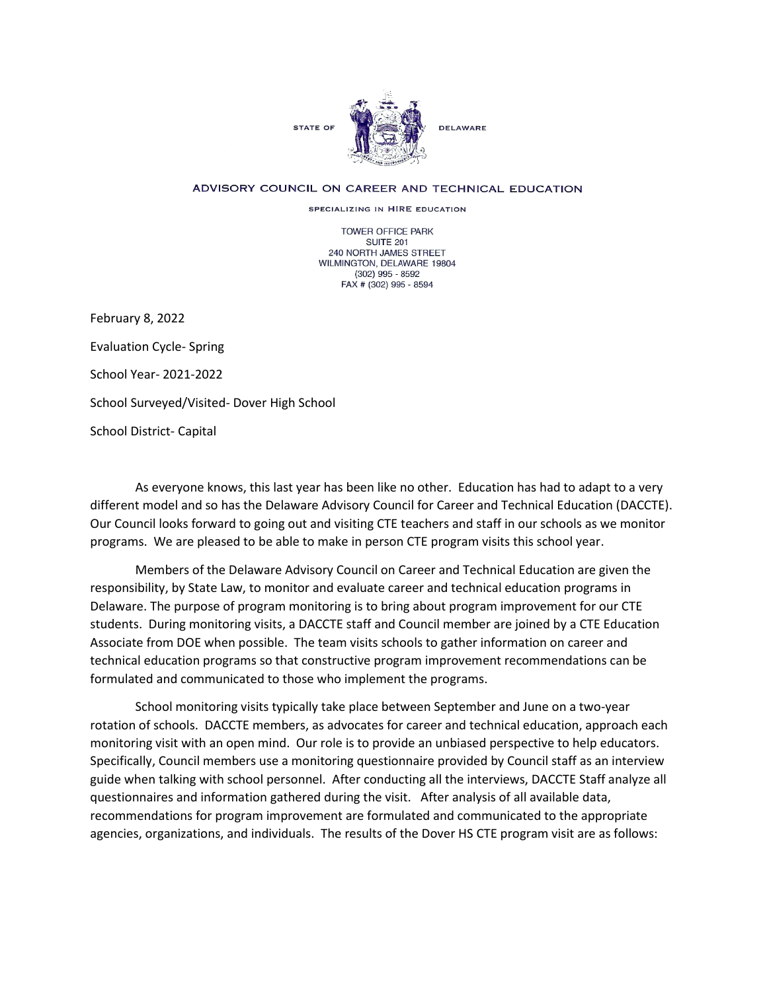

## ADVISORY COUNCIL ON CAREER AND TECHNICAL EDUCATION

SPECIALIZING IN HIRE EDUCATION

TOWER OFFICE PARK SUITE 201 240 NORTH JAMES STREET WILMINGTON, DELAWARE 19804 (302) 995 - 8592 FAX # (302) 995 - 8594

February 8, 2022 Evaluation Cycle- Spring School Year- 2021-2022 School Surveyed/Visited- Dover High School School District- Capital

As everyone knows, this last year has been like no other. Education has had to adapt to a very different model and so has the Delaware Advisory Council for Career and Technical Education (DACCTE). Our Council looks forward to going out and visiting CTE teachers and staff in our schools as we monitor programs. We are pleased to be able to make in person CTE program visits this school year.

Members of the Delaware Advisory Council on Career and Technical Education are given the responsibility, by State Law, to monitor and evaluate career and technical education programs in Delaware. The purpose of program monitoring is to bring about program improvement for our CTE students. During monitoring visits, a DACCTE staff and Council member are joined by a CTE Education Associate from DOE when possible. The team visits schools to gather information on career and technical education programs so that constructive program improvement recommendations can be formulated and communicated to those who implement the programs.

School monitoring visits typically take place between September and June on a two-year rotation of schools. DACCTE members, as advocates for career and technical education, approach each monitoring visit with an open mind. Our role is to provide an unbiased perspective to help educators. Specifically, Council members use a monitoring questionnaire provided by Council staff as an interview guide when talking with school personnel. After conducting all the interviews, DACCTE Staff analyze all questionnaires and information gathered during the visit. After analysis of all available data, recommendations for program improvement are formulated and communicated to the appropriate agencies, organizations, and individuals. The results of the Dover HS CTE program visit are as follows: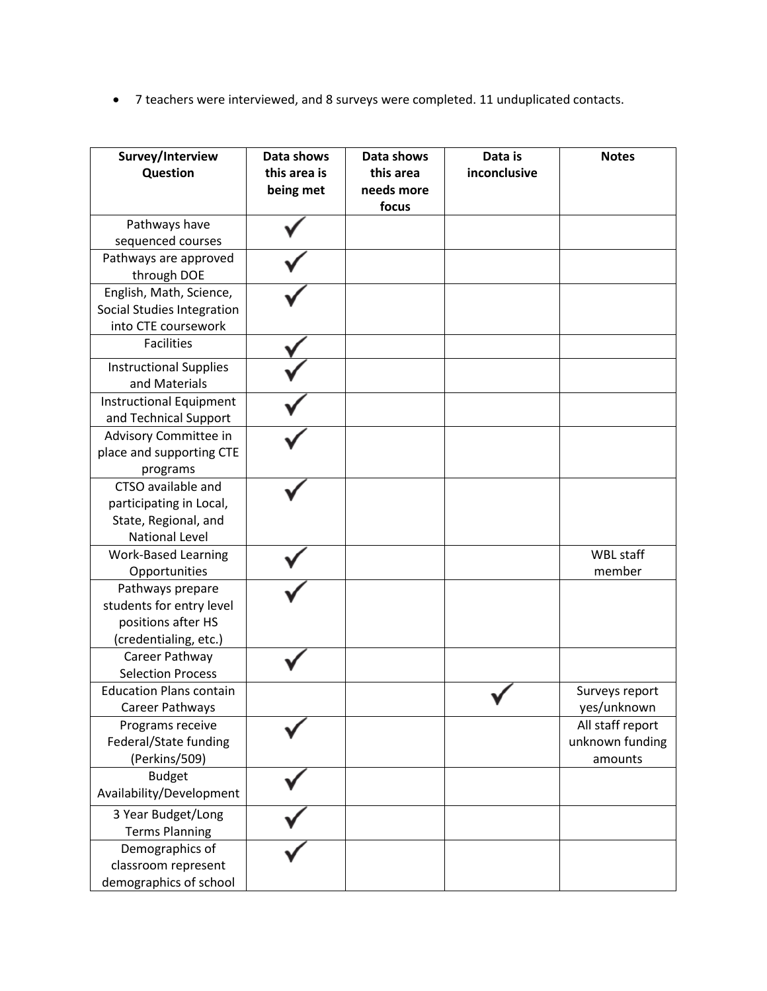• 7 teachers were interviewed, and 8 surveys were completed. 11 unduplicated contacts.

| Survey/Interview<br>Question               | Data shows<br>this area is<br>being met | Data shows<br>this area<br>needs more<br>focus | Data is<br>inconclusive | <b>Notes</b>                    |
|--------------------------------------------|-----------------------------------------|------------------------------------------------|-------------------------|---------------------------------|
| Pathways have                              |                                         |                                                |                         |                                 |
| sequenced courses                          |                                         |                                                |                         |                                 |
| Pathways are approved<br>through DOE       |                                         |                                                |                         |                                 |
| English, Math, Science,                    |                                         |                                                |                         |                                 |
| Social Studies Integration                 |                                         |                                                |                         |                                 |
| into CTE coursework                        |                                         |                                                |                         |                                 |
| <b>Facilities</b>                          |                                         |                                                |                         |                                 |
| <b>Instructional Supplies</b>              |                                         |                                                |                         |                                 |
| and Materials                              |                                         |                                                |                         |                                 |
| <b>Instructional Equipment</b>             |                                         |                                                |                         |                                 |
| and Technical Support                      |                                         |                                                |                         |                                 |
| Advisory Committee in                      |                                         |                                                |                         |                                 |
| place and supporting CTE                   |                                         |                                                |                         |                                 |
| programs                                   |                                         |                                                |                         |                                 |
| CTSO available and                         |                                         |                                                |                         |                                 |
| participating in Local,                    |                                         |                                                |                         |                                 |
| State, Regional, and                       |                                         |                                                |                         |                                 |
| <b>National Level</b>                      |                                         |                                                |                         |                                 |
| <b>Work-Based Learning</b>                 |                                         |                                                |                         | WBL staff                       |
| Opportunities                              |                                         |                                                |                         | member                          |
| Pathways prepare                           |                                         |                                                |                         |                                 |
| students for entry level                   |                                         |                                                |                         |                                 |
| positions after HS                         |                                         |                                                |                         |                                 |
| (credentialing, etc.)                      |                                         |                                                |                         |                                 |
| Career Pathway<br><b>Selection Process</b> |                                         |                                                |                         |                                 |
| <b>Education Plans contain</b>             |                                         |                                                |                         |                                 |
| Career Pathways                            |                                         |                                                |                         | Surveys report                  |
| Programs receive                           |                                         |                                                |                         | yes/unknown<br>All staff report |
| Federal/State funding                      |                                         |                                                |                         | unknown funding                 |
| (Perkins/509)                              |                                         |                                                |                         | amounts                         |
| <b>Budget</b>                              |                                         |                                                |                         |                                 |
| Availability/Development                   |                                         |                                                |                         |                                 |
| 3 Year Budget/Long                         |                                         |                                                |                         |                                 |
| <b>Terms Planning</b>                      |                                         |                                                |                         |                                 |
| Demographics of                            |                                         |                                                |                         |                                 |
| classroom represent                        |                                         |                                                |                         |                                 |
| demographics of school                     |                                         |                                                |                         |                                 |